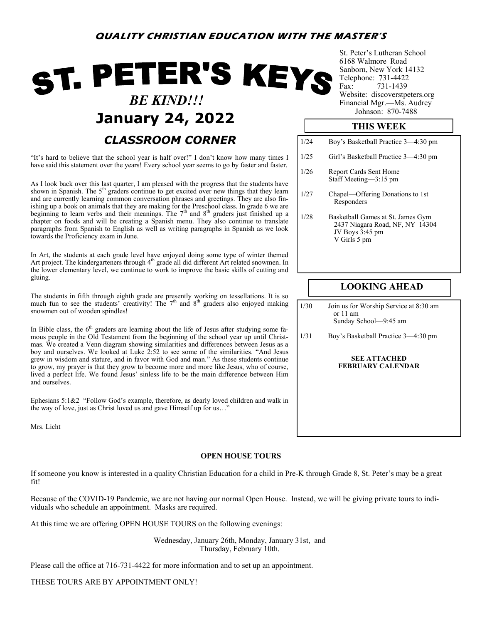# ST. PETER'S KEYS  *BE KIND!!!* **January 24, 2022** *CLASSROOM CORNER*

"It's hard to believe that the school year is half over!" I don't know how many times I have said this statement over the years! Every school year seems to go by faster and faster.

As I look back over this last quarter, I am pleased with the progress that the students have shown in Spanish. The  $5<sup>th</sup>$  graders continue to get excited over new things that they learn and are currently learning common conversation phrases and greetings. They are also finishing up a book on animals that they are making for the Preschool class. In grade 6 we are beginning to learn verbs and their meanings. The  $7<sup>th</sup>$  and  $8<sup>th</sup>$  graders just finished up a chapter on foods and will be creating a Spanish menu. They also continue to translate paragraphs from Spanish to English as well as writing paragraphs in Spanish as we look towards the Proficiency exam in June.

In Art, the students at each grade level have enjoyed doing some type of winter themed Art project. The kindergarteners through 4<sup>th</sup> grade all did different Art related snowmen. In the lower elementary level, we continue to work to improve the basic skills of cutting and gluing.

The students in fifth through eighth grade are presently working on tessellations. It is so much fun to see the students' creativity! The  $7<sup>th</sup>$  and  $8<sup>th</sup>$  graders also enjoyed making snowmen out of wooden spindles!

In Bible class, the  $6<sup>th</sup>$  graders are learning about the life of Jesus after studying some famous people in the Old Testament from the beginning of the school year up until Christmas. We created a Venn diagram showing similarities and differences between Jesus as a boy and ourselves. We looked at Luke 2:52 to see some of the similarities. "And Jesus grew in wisdom and stature, and in favor with God and man." As these students continue to grow, my prayer is that they grow to become more and more like Jesus, who of course, lived a perfect life. We found Jesus' sinless life to be the main difference between Him and ourselves.

Ephesians 5:1&2 "Follow God's example, therefore, as dearly loved children and walk in the way of love, just as Christ loved us and gave Himself up for us…"

Mrs. Licht

## **OPEN HOUSE TOURS**

If someone you know is interested in a quality Christian Education for a child in Pre-K through Grade 8, St. Peter's may be a great fit!

Because of the COVID-19 Pandemic, we are not having our normal Open House. Instead, we will be giving private tours to individuals who schedule an appointment. Masks are required.

At this time we are offering OPEN HOUSE TOURS on the following evenings:

Wednesday, January 26th, Monday, January 31st, and Thursday, February 10th.

Please call the office at 716-731-4422 for more information and to set up an appointment.

THESE TOURS ARE BY APPOINTMENT ONLY!

St. Peter's Lutheran School 6168 Walmore Road Sanborn, New York 14132 Telephone: 731-4422<br>Fax: 731-1439 731-1439 Website: discoverstpeters.org Financial Mgr.—Ms. Audrey<br>Johnson: 870-7488

# **THIS WEEK**

| 1/24 | Boy's Basketball Practice 3–4:30 pm                                                                     |
|------|---------------------------------------------------------------------------------------------------------|
| 1/25 | Girl's Basketball Practice 3-4:30 pm                                                                    |
| 1/26 | Report Cards Sent Home<br>Staff Meeting-3:15 pm                                                         |
| 1/27 | Chapel—Offering Donations to 1st<br>Responders                                                          |
| 1/28 | Basketball Games at St. James Gym<br>2437 Niagara Road, NF, NY 14304<br>JV Boys 3:45 pm<br>V Girls 5 pm |

# **LOOKING AHEAD**

1/30 Join us for Worship Service at 8:30 am or 11 am Sunday School—9:45 am

1/31 Boy's Basketball Practice 3—4:30 pm

#### **SEE ATTACHED FEBRUARY CALENDAR**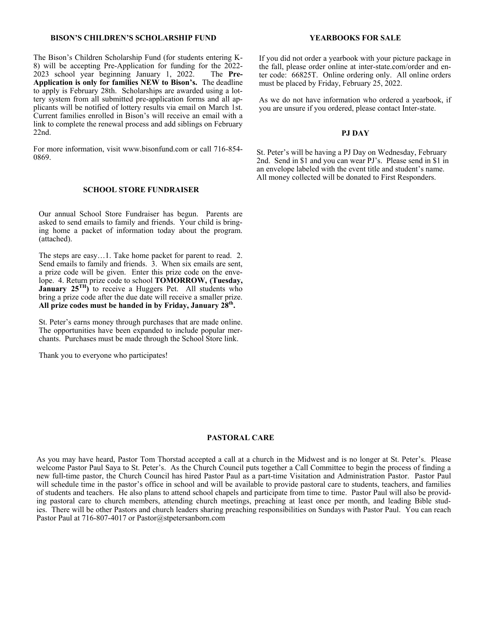#### **BISON'S CHILDREN'S SCHOLARSHIP FUND**

The Bison's Children Scholarship Fund (for students entering K-8) will be accepting Pre-Application for funding for the 2022-<br>2023 school year beginning January 1, 2022. The **Pre-**2023 school year beginning January 1, 2022. **Application is only for families NEW to Bison's.** The deadline to apply is February 28th. Scholarships are awarded using a lottery system from all submitted pre-application forms and all applicants will be notified of lottery results via email on March 1st. Current families enrolled in Bison's will receive an email with a link to complete the renewal process and add siblings on February 22nd.

For more information, visit www.bisonfund.com or call 716-854- 0869.

### **SCHOOL STORE FUNDRAISER**

Our annual School Store Fundraiser has begun. Parents are asked to send emails to family and friends. Your child is bringing home a packet of information today about the program. (attached).

The steps are easy…1. Take home packet for parent to read. 2. Send emails to family and friends. 3. When six emails are sent, a prize code will be given. Enter this prize code on the envelope. 4. Return prize code to school **TOMORROW, (Tuesday, January 25<sup>TH</sup>** to receive a Huggers Pet. All students who bring a prize code after the due date will receive a smaller prize. **All prize codes must be handed in by Friday, January 28th .** 

St. Peter's earns money through purchases that are made online. The opportunities have been expanded to include popular merchants. Purchases must be made through the School Store link.

Thank you to everyone who participates!

#### **YEARBOOKS FOR SALE**

If you did not order a yearbook with your picture package in the fall, please order online at inter-state.com/order and enter code: 66825T. Online ordering only. All online orders must be placed by Friday, February 25, 2022.

As we do not have information who ordered a yearbook, if you are unsure if you ordered, please contact Inter-state.

#### **PJ DAY**

St. Peter's will be having a PJ Day on Wednesday, February 2nd. Send in \$1 and you can wear PJ's. Please send in \$1 in an envelope labeled with the event title and student's name. All money collected will be donated to First Responders.

## **PASTORAL CARE**

As you may have heard, Pastor Tom Thorstad accepted a call at a church in the Midwest and is no longer at St. Peter's. Please welcome Pastor Paul Saya to St. Peter's. As the Church Council puts together a Call Committee to begin the process of finding a new full-time pastor, the Church Council has hired Pastor Paul as a part-time Visitation and Administration Pastor. Pastor Paul will schedule time in the pastor's office in school and will be available to provide pastoral care to students, teachers, and families of students and teachers. He also plans to attend school chapels and participate from time to time. Pastor Paul will also be providing pastoral care to church members, attending church meetings, preaching at least once per month, and leading Bible studies. There will be other Pastors and church leaders sharing preaching responsibilities on Sundays with Pastor Paul. You can reach Pastor Paul at 716-807-4017 or Pastor@stpetersanborn.com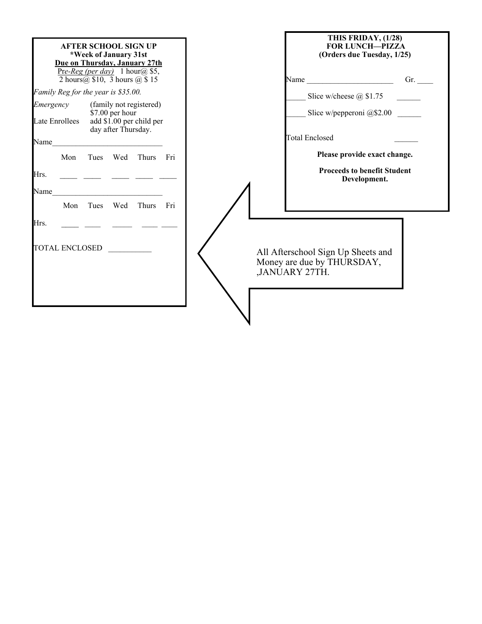| <b>AFTER SCHOOL SIGN UP</b><br>*Week of January 31st<br>Due on Thursday, January 27th<br>Pre-Reg (per day) 1 hour(a) \$5, |                                                                                    | THIS FRIDAY, (1/28)<br><b>FOR LUNCH-PIZZA</b><br>(Orders due Tuesday, 1/25) |
|---------------------------------------------------------------------------------------------------------------------------|------------------------------------------------------------------------------------|-----------------------------------------------------------------------------|
| 2 hours $(a)$ \$10, 3 hours $(a)$ \$15                                                                                    | Name $\qquad \qquad \qquad \qquad \text{Gr.}$                                      |                                                                             |
| Family Reg for the year is \$35.00.                                                                                       | Slice w/cheese $\omega$ \$1.75                                                     |                                                                             |
| (family not registered)<br>Emergency<br>\$7.00 per hour<br>add $$1.00$ per child per<br><b>Late Enrollees</b>             |                                                                                    | Slice w/pepperoni $@$2.00$                                                  |
| day after Thursday.<br>Name                                                                                               | <b>Total Enclosed</b>                                                              |                                                                             |
| Mon<br>Wed<br>Thurs<br>Tues<br>- Fri                                                                                      |                                                                                    | Please provide exact change.                                                |
| Hrs.<br><u> 2002 - Jan Barnett, mars et al.</u>                                                                           |                                                                                    | <b>Proceeds to benefit Student</b><br>Development.                          |
| Name<br>Thurs<br>Mon<br>Tues<br>Wed<br>- Fri                                                                              |                                                                                    |                                                                             |
| Hrs.                                                                                                                      |                                                                                    |                                                                             |
| TOTAL ENCLOSED                                                                                                            | All Afterschool Sign Up Sheets and<br>Money are due by THURSDAY,<br>,JANUARY 27TH. |                                                                             |
|                                                                                                                           |                                                                                    |                                                                             |